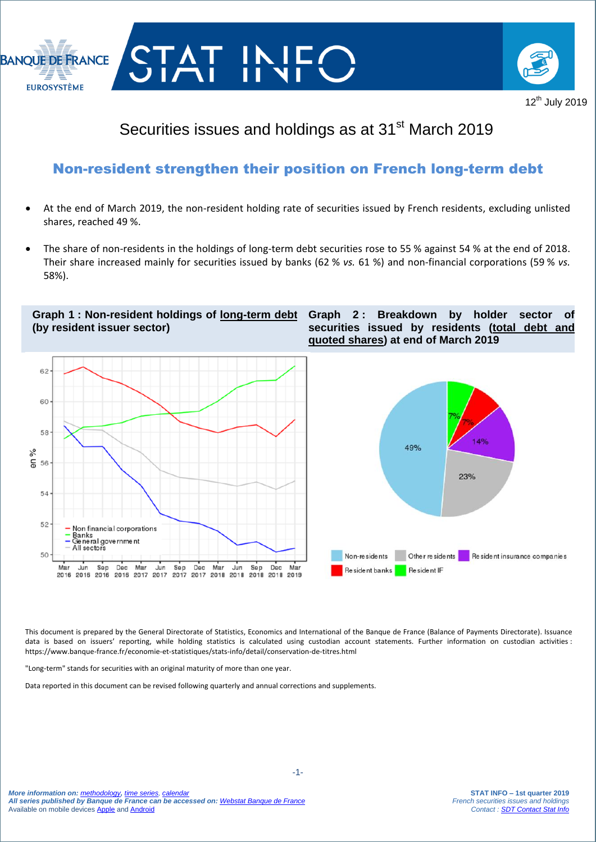



## Securities issues and holdings as at 31<sup>st</sup> March 2019

### Non-resident strengthen their position on French long-term debt

- At the end of March 2019, the non-resident holding rate of securities issued by French residents, excluding unlisted shares, reached 49 %.
- The share of non-residents in the holdings of long-term debt securities rose to 55 % against 54 % at the end of 2018. Their share increased mainly for securities issued by banks (62 % *vs.* 61 %) and non-financial corporations (59 % *vs.* 58%).

**Graph 1 : Non-resident holdings of long-term debt (by resident issuer sector)**

**Graph 2 : Breakdown by holder sector of securities issued by residents (total debt and quoted shares) at end of March 2019**



This document is prepared by the General Directorate of Statistics, Economics and International of the Banque de France (Balance of Payments Directorate). Issuance data is based on issuers' reporting, while holding statistics is calculated using custodian account statements. Further information on custodian activities : https://www.banque-france.fr/economie-et-statistiques/stats-info/detail/conservation-de-titres.html

"Long-term" stands for securities with an original maturity of more than one year.

I

Data reported in this document can be revised following quarterly and annual corrections and supplements.